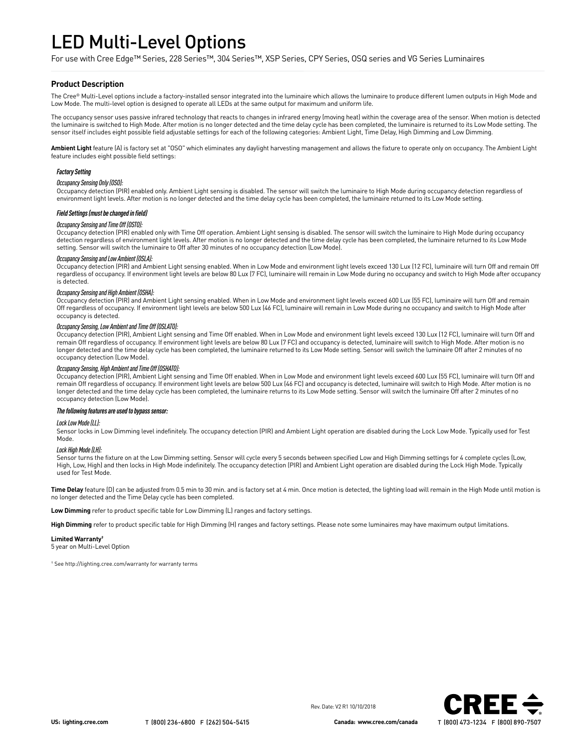# LED Multi-Level Options

For use with Cree Edge™ Series, 228 Series™, 304 Series™, XSP Series, CPY Series, OSQ series and VG Series Luminaires

## **Product Description**

The Cree® Multi-Level options include a factory-installed sensor integrated into the luminaire which allows the luminaire to produce different lumen outputs in High Mode and Low Mode. The multi-level option is designed to operate all LEDs at the same output for maximum and uniform life.

The occupancy sensor uses passive infrared technology that reacts to changes in infrared energy (moving heat) within the coverage area of the sensor. When motion is detected the luminaire is switched to High Mode. After motion is no longer detected and the time delay cycle has been completed, the luminaire is returned to its Low Mode setting. The sensor itself includes eight possible field adjustable settings for each of the following categories: Ambient Light, Time Delay, High Dimming and Low Dimming.

**Ambient Light** feature (A) is factory set at "OSO" which eliminates any daylight harvesting management and allows the fixture to operate only on occupancy. The Ambient Light feature includes eight possible field settings:

## *Factory Setting*

*Occupancy Sensing Only (OSO):*

Occupancy detection (PIR) enabled only. Ambient Light sensing is disabled. The sensor will switch the luminaire to High Mode during occupancy detection regardless of environment light levels. After motion is no longer detected and the time delay cycle has been completed, the luminaire returned to its Low Mode setting.

### *Field Settings (must be changed in field)*

#### *Occupancy Sensing and Time Off (OSTO):*

Occupancy detection (PIR) enabled only with Time Off operation. Ambient Light sensing is disabled. The sensor will switch the luminaire to High Mode during occupancy detection regardless of environment light levels. After motion is no longer detected and the time delay cycle has been completed, the luminaire returned to its Low Mode setting. Sensor will switch the luminaire to Off after 30 minutes of no occupancy detection (Low Mode).

## *Occupancy Sensing and Low Ambient (OSLA):*

Occupancy detection (PIR) and Ambient Light sensing enabled. When in Low Mode and environment light levels exceed 130 Lux (12 FC), luminaire will turn Off and remain Off regardless of occupancy. If environment light levels are below 80 Lux (7 FC), luminaire will remain in Low Mode during no occupancy and switch to High Mode after occupancy is detected.

#### *Occupancy Sensing and High Ambient (OSHA):*

Occupancy detection (PIR) and Ambient Light sensing enabled. When in Low Mode and environment light levels exceed 600 Lux (55 FC), luminaire will turn Off and remain Off regardless of occupancy. If environment light levels are below 500 Lux (46 FC), luminaire will remain in Low Mode during no occupancy and switch to High Mode after occupancy is detected.

#### *Occupancy Sensing, Low Ambient and Time Off (OSLATO):*

Occupancy detection (PIR), Ambient Light sensing and Time Off enabled. When in Low Mode and environment light levels exceed 130 Lux (12 FC), luminaire will turn Off and remain Off regardless of occupancy. If environment light levels are below 80 Lux (7 FC) and occupancy is detected, luminaire will switch to High Mode. After motion is no longer detected and the time delay cycle has been completed, the luminaire returned to its Low Mode setting. Sensor will switch the luminaire Off after 2 minutes of no occupancy detection (Low Mode).

## *Occupancy Sensing, High Ambient and Time Off (OSHATO):*

Occupancy detection (PIR), Ambient Light sensing and Time Off enabled. When in Low Mode and environment light levels exceed 600 Lux (55 FC), luminaire will turn Off and remain Off regardless of occupancy. If environment light levels are below 500 Lux (46 FC) and occupancy is detected, luminaire will switch to High Mode. After motion is no longer detected and the time delay cycle has been completed, the luminaire returns to its Low Mode setting. Sensor will switch the luminaire Off after 2 minutes of no occupancy detection (Low Mode).

#### *The following features are used to bypass sensor:*

#### *Lock Low Mode (LL):*

Sensor locks in Low Dimming level indefinitely. The occupancy detection (PIR) and Ambient Light operation are disabled during the Lock Low Mode. Typically used for Test Mode.

#### *Lock High Mode (LH):*

Sensor turns the fixture on at the Low Dimming setting. Sensor will cycle every 5 seconds between specified Low and High Dimming settings for 4 complete cycles (Low, High, Low, High) and then locks in High Mode indefinitely. The occupancy detection (PIR) and Ambient Light operation are disabled during the Lock High Mode. Typically used for Test Mode.

**Time Delay** feature (D) can be adjusted from 0.5 min to 30 min. and is factory set at 4 min. Once motion is detected, the lighting load will remain in the High Mode until motion is no longer detected and the Time Delay cycle has been completed.

**Low Dimming** refer to product specific table for Low Dimming (L) ranges and factory settings.

**High Dimming** refer to product specific table for High Dimming (H) ranges and factory settings. Please note some luminaires may have maximum output limitations.

#### **Limited Warranty†**

5 year on Multi-Level Option

† See http://lighting.cree.com/warranty for warranty terms



Rev. Date: V2 R1 10/10/2018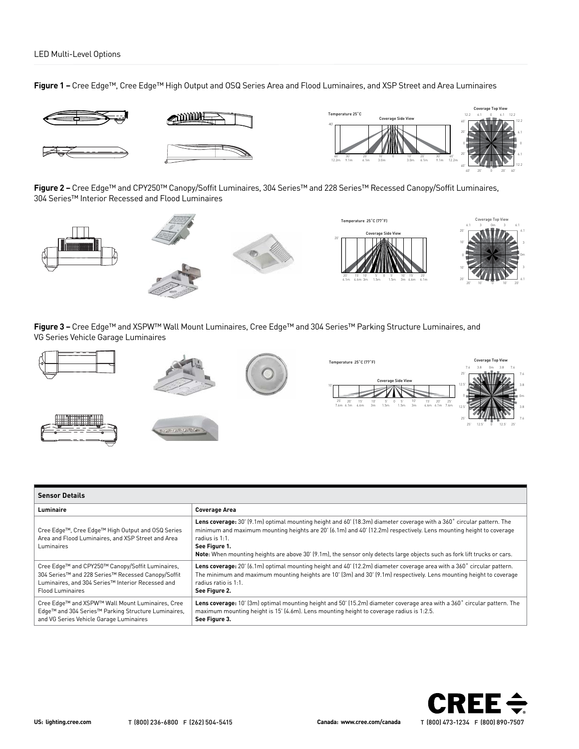**Figure 1 –** Cree Edge™, Cree Edge™ High Output and OSQ Series Area and Flood Luminaires, and XSP Street and Area Luminaires



**Figure 2 –** Cree Edge™ and CPY250™ Canopy/Soffit Luminaires, 304 Series™ and 228 Series™ Recessed Canopy/Soffit Luminaires, 304 Series™ Interior Recessed and Flood Luminaires



**Figure 3 –** Cree Edge™ and XSPW™ Wall Mount Luminaires, Cree Edge™ and 304 Series™ Parking Structure Luminaires, and VG Series Vehicle Garage Luminaires



| <b>Sensor Details</b>                                                                                                                                                                  |                                                                                                                                                                                                                                                                                                                                                                                                             |  |  |  |  |  |  |
|----------------------------------------------------------------------------------------------------------------------------------------------------------------------------------------|-------------------------------------------------------------------------------------------------------------------------------------------------------------------------------------------------------------------------------------------------------------------------------------------------------------------------------------------------------------------------------------------------------------|--|--|--|--|--|--|
| Luminaire                                                                                                                                                                              | <b>Coverage Area</b>                                                                                                                                                                                                                                                                                                                                                                                        |  |  |  |  |  |  |
| Cree Edge™, Cree Edge™ High Output and OSQ Series<br>Area and Flood Luminaires, and XSP Street and Area<br>Luminaires                                                                  | Lens coverage: 30' [9.1m] optimal mounting height and 60' [18.3m] diameter coverage with a 360° circular pattern. The<br>minimum and maximum mounting heights are 20' (6.1m) and 40' (12.2m) respectively. Lens mounting height to coverage<br>radius is 1:1.<br>See Figure 1.<br>Note: When mounting heights are above 30' (9.1m), the sensor only detects large objects such as fork lift trucks or cars. |  |  |  |  |  |  |
| Cree Edge™ and CPY250™ Canopy/Soffit Luminaires,<br>304 Series™ and 228 Series™ Recessed Canopy/Soffit<br>Luminaires, and 304 Series™ Interior Recessed and<br><b>Flood Luminaires</b> | Lens coverage: 20' (6.1m) optimal mounting height and 40' (12.2m) diameter coverage area with a 360° circular pattern.<br>The minimum and maximum mounting heights are 10' (3m) and 30' (9.1m) respectively. Lens mounting height to coverage<br>radius ratio is 1:1.<br>See Figure 2.                                                                                                                      |  |  |  |  |  |  |
| Cree Edge™ and XSPW™ Wall Mount Luminaires, Cree<br>Edge™ and 304 Series™ Parking Structure Luminaires,<br>and VG Series Vehicle Garage Luminaires                                     | Lens coverage: 10' (3m) optimal mounting height and 50' (15.2m) diameter coverage area with a 360° circular pattern. The<br>maximum mounting height is 15' (4.6m). Lens mounting height to coverage radius is 1:2.5.<br>See Figure 3.                                                                                                                                                                       |  |  |  |  |  |  |

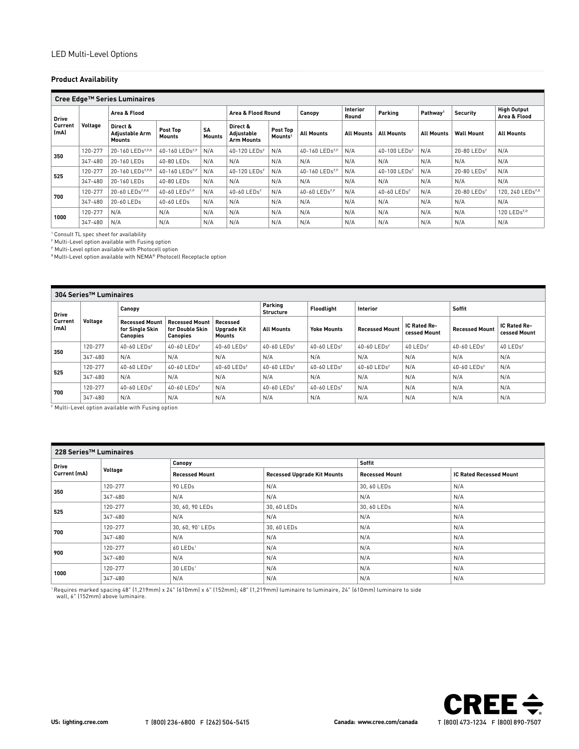# **Product Availability**

|                 | Cree Edge™ Series Luminaires |                                                    |                            |                            |                                             |                                 |                   |                          |                          |                      |                         |                                    |
|-----------------|------------------------------|----------------------------------------------------|----------------------------|----------------------------|---------------------------------------------|---------------------------------|-------------------|--------------------------|--------------------------|----------------------|-------------------------|------------------------------------|
| <b>Drive</b>    |                              | Area & Flood                                       |                            |                            |                                             | Area & Flood Round<br>Canopy    |                   | <b>Interior</b><br>Round | Parking                  | Pathway <sup>1</sup> | <b>Security</b>         | <b>High Output</b><br>Area & Flood |
| Current<br>(mA) | Voltage                      | Direct &<br><b>Adiustable Arm</b><br><b>Mounts</b> | Post Top<br><b>Mounts</b>  | <b>SA</b><br><b>Mounts</b> | Direct &<br>Adjustable<br><b>Arm Mounts</b> | Post Top<br>Mounts <sup>1</sup> | <b>All Mounts</b> | <b>All Mounts</b>        | <b>All Mounts</b>        | <b>All Mounts</b>    | <b>Wall Mount</b>       | <b>All Mounts</b>                  |
| 350             | 120-277                      | 20-160 LEDsF,P,R                                   | 40-160 LEDs <sup>F,P</sup> | N/A                        | 40-120 LEDsF                                | N/A                             | 40-160 LEDsF,P    | N/A                      | 40-100 LEDsF             | N/A                  | 20-80 LEDsF             | N/A                                |
|                 | 347-480                      | 20-160 LEDs                                        | 40-80 LEDs                 | N/A                        | N/A                                         | N/A                             | N/A               | N/A                      | N/A                      | N/A                  | N/A                     | N/A                                |
| 525             | 120-277                      | 20-160 LEDsF,P,R                                   | 40-160 LEDsF.F             | N/A                        | 40-120 LEDs <sup>F</sup>                    | N/A                             | 40-160 LEDsF,P    | N/A                      | 40-100 LEDs <sup>F</sup> | N/A                  | 20-80 LEDs <sup>F</sup> | N/A                                |
|                 | 347-480                      | 20-160 LEDs                                        | $40-80$ LEDs               | N/A                        | N/A                                         | N/A                             | N/A               | N/A                      | N/A                      | N/A                  | N/A                     | N/A                                |
| 700             | 120-277                      | 20-60 LEDsF,P,R                                    | 40-60 LEDsF,P              | N/A                        | 40-60 LEDsF                                 | N/A                             | 40-60 LEDsF,P     | N/A                      | 40-60 LEDsF              | N/A                  | 20-80 LEDsF             | 120, 240 LEDsF,R                   |
|                 | 347-480                      | 20-60 LEDs                                         | 40-60 LEDs                 | N/A                        | N/A                                         | N/A                             | N/A               | N/A                      | N/A                      | N/A                  | N/A                     | N/A                                |
| 1000            | 120-277                      | N/A                                                | N/A                        | N/A                        | N/A                                         | N/A                             | N/A               | N/A                      | N/A                      | N/A                  | N/A                     | 120 LEDsF.R                        |
|                 | 347-480                      | N/A                                                | N/A                        | N/A                        | N/A                                         | N/A                             | N/A               | N/A                      | N/A                      | N/A                  | N/A                     | N/A                                |

1 Consult TL spec sheet for availability

F Multi-Level option available with Fusing option

P Multi-Level option available with Photocell option

R Multi-Level option available with NEMA® Photocell Receptacle option

|                 | 304 Series <sup>™</sup> Luminaires |                                                             |                                                             |                                   |                             |                             |                             |                                     |                             |                                     |  |
|-----------------|------------------------------------|-------------------------------------------------------------|-------------------------------------------------------------|-----------------------------------|-----------------------------|-----------------------------|-----------------------------|-------------------------------------|-----------------------------|-------------------------------------|--|
| <b>Drive</b>    |                                    | Canopy                                                      |                                                             |                                   | Parking<br><b>Structure</b> | Floodlight                  | <b>Interior</b>             |                                     | Soffit                      |                                     |  |
| Current<br>(mA) | Voltage                            | <b>Recessed Mount</b><br>for Single Skin<br><b>Canopies</b> | <b>Recessed Mount</b><br>for Double Skin<br><b>Canopies</b> | Recessed<br>Upgrade Kit<br>Mounts | <b>All Mounts</b>           | <b>Yoke Mounts</b>          | <b>Recessed Mount</b>       | <b>IC Rated Re-</b><br>cessed Mount | <b>Recessed Mount</b>       | <b>IC Rated Re-</b><br>cessed Mount |  |
| 350             | 120-277                            | $40 - 60$ LEDs <sup>F</sup>                                 | 40-60 LEDsF                                                 | $40 - 60$ LEDs <sup>F</sup>       | $40-60$ LEDs <sup>F</sup>   | $40 - 60$ LEDs <sup>F</sup> | $40 - 60$ LEDs <sup>F</sup> | 40 LEDsF                            | $40 - 60$ LEDs <sup>F</sup> | 40 LEDsF                            |  |
|                 | 347-480                            | N/A                                                         | N/A                                                         | N/A                               | N/A                         | N/A                         | N/A                         | N/A                                 | N/A                         | N/A                                 |  |
| 525             | 120-277                            | 40-60 LEDs <sup>F</sup>                                     | 40-60 LEDs <sup>F</sup>                                     | $40 - 60$ LEDs <sup>F</sup>       | $40-60$ LEDs <sup>F</sup>   | $40 - 60$ LEDs <sup>F</sup> | 40-60 LEDs <sup>F</sup>     | N/A                                 | 40-60 LEDsF                 | N/A                                 |  |
|                 | 347-480                            | N/A                                                         | N/A                                                         | N/A                               | N/A                         | N/A                         | N/A                         | N/A                                 | N/A                         | N/A                                 |  |
| 700             | 120-277                            | 40-60 LEDsF                                                 | 40-60 LEDsF                                                 | N/A                               | 40-60 LEDsF                 | 40-60 LEDsF                 | N/A                         | N/A                                 | N/A                         | N/A                                 |  |
|                 | 347-480                            | N/A                                                         | N/A                                                         | N/A                               | N/A                         | N/A                         | N/A                         | N/A                                 | N/A                         | N/A                                 |  |

F Multi-Level option available with Fusing option

| 228 Series <sup>™</sup> Luminaires |         |                              |                                    |                       |                                |  |  |  |
|------------------------------------|---------|------------------------------|------------------------------------|-----------------------|--------------------------------|--|--|--|
| Drive                              |         | Canopy                       |                                    | Soffit                |                                |  |  |  |
| Current (mA)                       | Voltage | <b>Recessed Mount</b>        | <b>Recessed Upgrade Kit Mounts</b> | <b>Recessed Mount</b> | <b>IC Rated Recessed Mount</b> |  |  |  |
|                                    | 120-277 | 90 LED <sub>s</sub>          | N/A                                | 30, 60 LEDs           | N/A                            |  |  |  |
| 350                                | 347-480 | N/A                          | N/A                                | N/A                   | N/A                            |  |  |  |
| 525                                | 120-277 | 30, 60, 90 LEDs              | 30, 60 LEDs                        | 30, 60 LEDs           | N/A                            |  |  |  |
|                                    | 347-480 | N/A                          | N/A                                | N/A                   | N/A                            |  |  |  |
| 700                                | 120-277 | 30, 60, 90 <sup>1</sup> LEDs | 30, 60 LEDs                        | N/A                   | N/A                            |  |  |  |
|                                    | 347-480 | N/A                          | N/A                                | N/A                   | N/A                            |  |  |  |
| 900                                | 120-277 | 60 LEDs <sup>1</sup>         | N/A                                | N/A                   | N/A                            |  |  |  |
|                                    | 347-480 | N/A                          | N/A                                | N/A                   | N/A                            |  |  |  |
|                                    | 120-277 | $30$ LEDs <sup>1</sup>       | N/A                                | N/A                   | N/A                            |  |  |  |
| 1000                               | 347-480 | N/A                          | N/A                                | N/A                   | N/A                            |  |  |  |

1 Requires marked spacing 48" (1,219mm) x 24" (610mm) x 6" (152mm); 48" (1,219mm) luminaire to luminaire, 24" (610mm) luminaire to side wall, 6" (152mm) above luminaire.

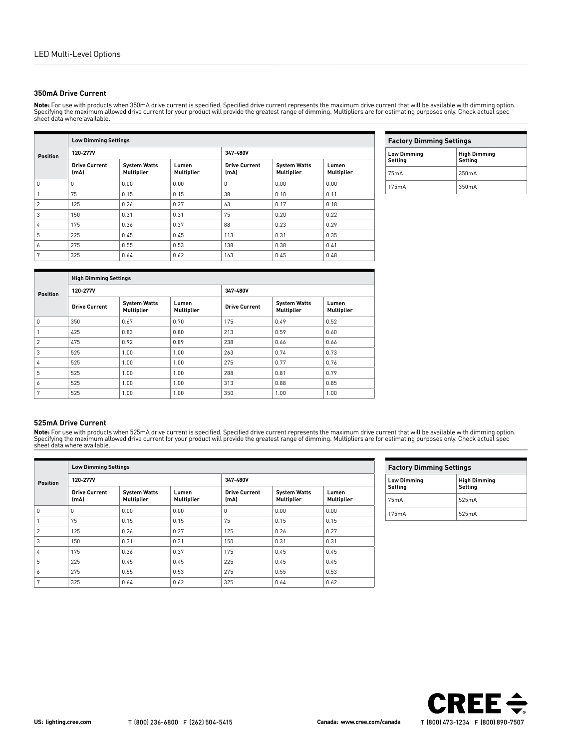# **350mA Drive Current**

**Note:** For use with products when 350mA drive current is specified. Specified drive current represents the maximum drive current that will be available with dimming option.<br>Specifying the maximum allowed drive current for sheet data where available.

|                 |                              | <b>Low Dimming Settings</b>       |                            |                              |                                          |                            |  |  |  |  |  |
|-----------------|------------------------------|-----------------------------------|----------------------------|------------------------------|------------------------------------------|----------------------------|--|--|--|--|--|
| <b>Position</b> | 120-277V                     |                                   |                            | 347-480V                     |                                          |                            |  |  |  |  |  |
|                 | <b>Drive Current</b><br>(mA) | <b>System Watts</b><br>Multiplier | Lumen<br><b>Multiplier</b> | <b>Drive Current</b><br>(mA) | <b>System Watts</b><br><b>Multiplier</b> | Lumen<br><b>Multiplier</b> |  |  |  |  |  |
| 0               | $\Omega$                     | 0.00                              | 0.00                       | 0                            | 0.00                                     | 0.00                       |  |  |  |  |  |
|                 | 75                           | 0.15                              | 0.15                       | 38                           | 0.10                                     | 0.11                       |  |  |  |  |  |
| $\mathfrak{p}$  | 125                          | 0.26                              | 0.27                       | 63                           | 0.17                                     | 0.18                       |  |  |  |  |  |
| 3               | 150                          | 0.31                              | 0.31                       | 75                           | 0.20                                     | 0.22                       |  |  |  |  |  |
| 4               | 175                          | 0.36                              | 0.37                       | 88                           | 0.23                                     | 0.29                       |  |  |  |  |  |
| 5               | 225                          | 0.45                              | 0.45                       | 113                          | 0.31                                     | 0.35                       |  |  |  |  |  |
| 6               | 275                          | 0.55                              | 0.53                       | 138                          | 0.38                                     | 0.41                       |  |  |  |  |  |
| 7               | 325                          | 0.64                              | 0.62                       | 163                          | 0.45                                     | 0.48                       |  |  |  |  |  |

| <b>Factory Dimming Settings</b>                                 |       |  |  |  |
|-----------------------------------------------------------------|-------|--|--|--|
| <b>Low Dimming</b><br><b>High Dimming</b><br>Setting<br>Setting |       |  |  |  |
| 75mA                                                            | 350mA |  |  |  |
| 175mA                                                           | 350mA |  |  |  |

|                 | <b>High Dimming Settings</b> |                                          |                     |                      |                                          |                     |  |  |  |
|-----------------|------------------------------|------------------------------------------|---------------------|----------------------|------------------------------------------|---------------------|--|--|--|
| <b>Position</b> | 120-277V                     |                                          |                     | 347-480V             |                                          |                     |  |  |  |
|                 | <b>Drive Current</b>         | <b>System Watts</b><br><b>Multiplier</b> | Lumen<br>Multiplier | <b>Drive Current</b> | <b>System Watts</b><br><b>Multiplier</b> | Lumen<br>Multiplier |  |  |  |
| 0               | 350                          | 0.67                                     | 0.70                | 175                  | 0.49                                     | 0.52                |  |  |  |
|                 | 425                          | 0.83                                     | 0.80                | 213                  | 0.59                                     | 0.60                |  |  |  |
| $\overline{2}$  | 475                          | 0.92                                     | 0.89                | 238                  | 0.66                                     | 0.66                |  |  |  |
| 3               | 525                          | 1.00                                     | 1.00                | 263                  | 0.74                                     | 0.73                |  |  |  |
| 4               | 525                          | 1.00                                     | 1.00                | 275                  | 0.77                                     | 0.76                |  |  |  |
| 5               | 525                          | 1.00                                     | 1.00                | 288                  | 0.81                                     | 0.79                |  |  |  |
| 6               | 525                          | 1.00                                     | 1.00                | 313                  | 0.88                                     | 0.85                |  |  |  |
| 7               | 525                          | 1.00                                     | 1.00                | 350                  | 1.00                                     | 1.00                |  |  |  |

# **525mA Drive Current**

**Note:** For use with products when 525mA drive current is specified. Specified drive current represents the maximum drive current that will be available with dimming option.<br>Specifying the maximum allowed drive current for

|                 | <b>Low Dimming Settings</b>  |                                          |                     |                              |                                          |                            |  |  |  |
|-----------------|------------------------------|------------------------------------------|---------------------|------------------------------|------------------------------------------|----------------------------|--|--|--|
| <b>Position</b> | 120-277V                     |                                          |                     | 347-480V                     |                                          |                            |  |  |  |
|                 | <b>Drive Current</b><br>(mA) | <b>System Watts</b><br><b>Multiplier</b> | Lumen<br>Multiplier | <b>Drive Current</b><br>(mA) | <b>System Watts</b><br><b>Multiplier</b> | Lumen<br><b>Multiplier</b> |  |  |  |
| $\Omega$        | $\Omega$                     | 0.00                                     | 0.00                | 0                            | 0.00                                     | 0.00                       |  |  |  |
|                 | 75                           | 0.15                                     | 0.15                | 75                           | 0.15                                     | 0.15                       |  |  |  |
| 2               | 125                          | 0.26                                     | 0.27                | 125                          | 0.26                                     | 0.27                       |  |  |  |
| 3               | 150                          | 0.31                                     | 0.31                | 150                          | 0.31                                     | 0.31                       |  |  |  |
| 4               | 175                          | 0.36                                     | 0.37                | 175                          | 0.45                                     | 0.45                       |  |  |  |
| 5               | 225                          | 0.45                                     | 0.45                | 225                          | 0.45                                     | 0.45                       |  |  |  |
| 6               | 275                          | 0.55                                     | 0.53                | 275                          | 0.55                                     | 0.53                       |  |  |  |
| 7               | 325                          | 0.64                                     | 0.62                | 325                          | 0.64                                     | 0.62                       |  |  |  |

| <b>Factory Dimming Settings</b>                                 |       |  |  |  |
|-----------------------------------------------------------------|-------|--|--|--|
| <b>High Dimming</b><br><b>Low Dimming</b><br>Setting<br>Settina |       |  |  |  |
| 75mA                                                            | 525mA |  |  |  |
| 175mA                                                           | 525mA |  |  |  |

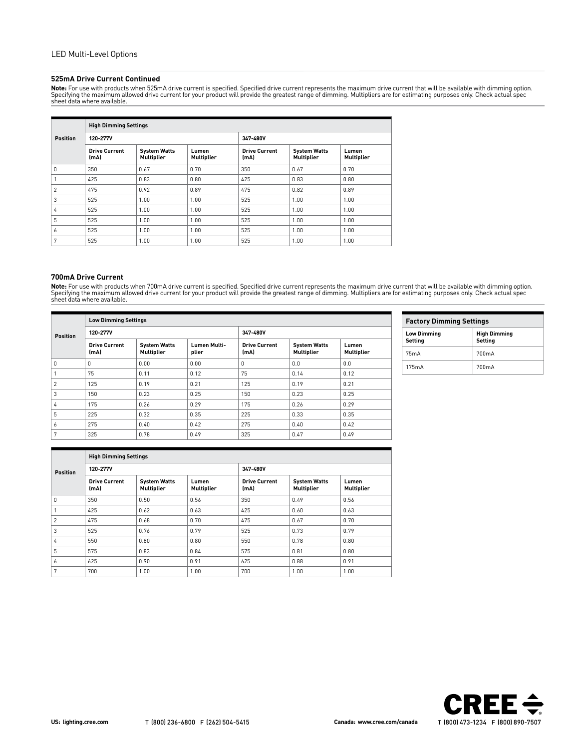## **525mA Drive Current Continued**

**Note:** For use with products when 525mA drive current is specified. Specified drive current represents the maximum drive current that will be available with dimming option. Specifying the maximum allowed drive current for your product will provide the greatest range of dimming. Multipliers are for estimating purposes only. Check actual spec sheet data where available.

|                 | <b>High Dimming Settings</b> |                                   |                            |                              |                                          |                     |  |  |  |  |
|-----------------|------------------------------|-----------------------------------|----------------------------|------------------------------|------------------------------------------|---------------------|--|--|--|--|
| <b>Position</b> | 120-277V                     |                                   |                            | 347-480V                     |                                          |                     |  |  |  |  |
|                 | <b>Drive Current</b><br>(mA) | <b>System Watts</b><br>Multiplier | Lumen<br><b>Multiplier</b> | <b>Drive Current</b><br>(mA) | <b>System Watts</b><br><b>Multiplier</b> | Lumen<br>Multiplier |  |  |  |  |
| 0               | 350                          | 0.67                              | 0.70                       | 350                          | 0.67                                     | 0.70                |  |  |  |  |
|                 | 425                          | 0.83                              | 0.80                       | 425                          | 0.83                                     | 0.80                |  |  |  |  |
| 2               | 475                          | 0.92                              | 0.89                       | 475                          | 0.82                                     | 0.89                |  |  |  |  |
| 3               | 525                          | 1.00                              | 1.00                       | 525                          | 1.00                                     | 1.00                |  |  |  |  |
| 4               | 525                          | 1.00                              | 1.00                       | 525                          | 1.00                                     | 1.00                |  |  |  |  |
| 5               | 525                          | 1.00                              | 1.00                       | 525                          | 1.00                                     | 1.00                |  |  |  |  |
| 6               | 525                          | 1.00                              | 1.00                       | 525                          | 1.00                                     | 1.00                |  |  |  |  |
| 7               | 525                          | 1.00                              | 1.00                       | 525                          | 1.00                                     | 1.00                |  |  |  |  |

## **700mA Drive Current**

**Note:** For use with products when 700mA drive current is specified. Specified drive current represents the maximum drive current that will be available with dimming option.<br>Specifying the maximum allowed drive current for

|                 | <b>Low Dimming Settings</b>  |                                          |                       |                              |                                          |                     |  |  |  |
|-----------------|------------------------------|------------------------------------------|-----------------------|------------------------------|------------------------------------------|---------------------|--|--|--|
| <b>Position</b> | 120-277V                     |                                          |                       | 347-480V                     |                                          |                     |  |  |  |
|                 | <b>Drive Current</b><br>(mA) | <b>System Watts</b><br><b>Multiplier</b> | Lumen Multi-<br>plier | <b>Drive Current</b><br>(mA) | <b>System Watts</b><br><b>Multiplier</b> | Lumen<br>Multiplier |  |  |  |
| $\Omega$        | 0                            | 0.00                                     | 0.00                  | $\mathbf{0}$                 | 0.0                                      | 0.0                 |  |  |  |
|                 | 75                           | 0.11                                     | 0.12                  | 75                           | 0.14                                     | 0.12                |  |  |  |
| $\overline{2}$  | 125                          | 0.19                                     | 0.21                  | 125                          | 0.19                                     | 0.21                |  |  |  |
| 3               | 150                          | 0.23                                     | 0.25                  | 150                          | 0.23                                     | 0.25                |  |  |  |
| 4               | 175                          | 0.26                                     | 0.29                  | 175                          | 0.26                                     | 0.29                |  |  |  |
| 5               | 225                          | 0.32                                     | 0.35                  | 225                          | 0.33                                     | 0.35                |  |  |  |
| 6               | 275                          | 0.40                                     | 0.42                  | 275                          | 0.40                                     | 0.42                |  |  |  |
| 7               | 325                          | 0.78                                     | 0.49                  | 325                          | 0.47                                     | 0.49                |  |  |  |

| <b>Factory Dimming Settings</b>                                 |  |  |  |  |  |
|-----------------------------------------------------------------|--|--|--|--|--|
| <b>High Dimming</b><br><b>Low Dimming</b><br>Settina<br>Settina |  |  |  |  |  |
| 700mA<br>75mA                                                   |  |  |  |  |  |
| 700mA<br>175mA                                                  |  |  |  |  |  |

| <b>Position</b> | <b>High Dimming Settings</b> |                                          |                     |                              |                                          |                     |
|-----------------|------------------------------|------------------------------------------|---------------------|------------------------------|------------------------------------------|---------------------|
|                 | 120-277V                     |                                          |                     | 347-480V                     |                                          |                     |
|                 | <b>Drive Current</b><br>(mA) | <b>System Watts</b><br><b>Multiplier</b> | Lumen<br>Multiplier | <b>Drive Current</b><br>(mA) | <b>System Watts</b><br><b>Multiplier</b> | Lumen<br>Multiplier |
| 0               | 350                          | 0.50                                     | 0.56                | 350                          | 0.49                                     | 0.56                |
|                 | 425                          | 0.62                                     | 0.63                | 425                          | 0.60                                     | 0.63                |
| 2               | 475                          | 0.68                                     | 0.70                | 475                          | 0.67                                     | 0.70                |
| 3               | 525                          | 0.76                                     | 0.79                | 525                          | 0.73                                     | 0.79                |
| 4               | 550                          | 0.80                                     | 0.80                | 550                          | 0.78                                     | 0.80                |
| 5               | 575                          | 0.83                                     | 0.84                | 575                          | 0.81                                     | 0.80                |
| 6               | 625                          | 0.90                                     | 0.91                | 625                          | 0.88                                     | 0.91                |
| 7               | 700                          | 1.00                                     | 1.00                | 700                          | 1.00                                     | 1.00                |

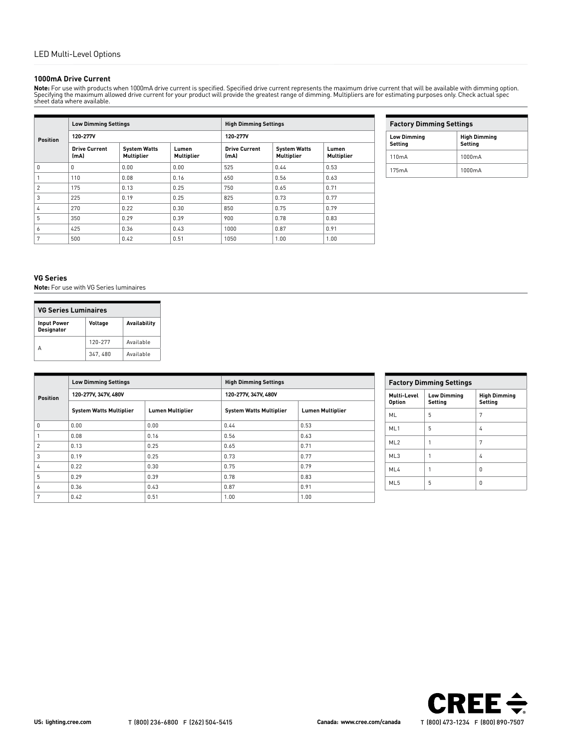## **1000mA Drive Current**

**Note**: For use with products when 1000mA drive current is specified. Specified drive current represents the maximum drive current that will be available with dimming option.<br>Specifying the maximum allowed drive current fo

| <b>Position</b> | <b>Low Dimming Settings</b>  |                                          | <b>High Dimming Settings</b> |                              |                                          |                            |
|-----------------|------------------------------|------------------------------------------|------------------------------|------------------------------|------------------------------------------|----------------------------|
|                 | 120-277V                     |                                          |                              | 120-277V                     |                                          |                            |
|                 | <b>Drive Current</b><br>(mA) | <b>System Watts</b><br><b>Multiplier</b> | Lumen<br><b>Multiplier</b>   | <b>Drive Current</b><br>(mA) | <b>System Watts</b><br><b>Multiplier</b> | Lumen<br><b>Multiplier</b> |
| $\Omega$        | $\Omega$                     | 0.00                                     | 0.00                         | 525                          | 0.44                                     | 0.53                       |
|                 | 110                          | 0.08                                     | 0.16                         | 650                          | 0.56                                     | 0.63                       |
| $\overline{2}$  | 175                          | 0.13                                     | 0.25                         | 750                          | 0.65                                     | 0.71                       |
| 3               | 225                          | 0.19                                     | 0.25                         | 825                          | 0.73                                     | 0.77                       |
| 4               | 270                          | 0.22                                     | 0.30                         | 850                          | 0.75                                     | 0.79                       |
| 5               | 350                          | 0.29                                     | 0.39                         | 900                          | 0.78                                     | 0.83                       |
| 6               | 425                          | 0.36                                     | 0.43                         | 1000                         | 0.87                                     | 0.91                       |
| 7               | 500                          | 0.42                                     | 0.51                         | 1050                         | 1.00                                     | 1.00                       |

| <b>Factory Dimming Settings</b> |                                |  |
|---------------------------------|--------------------------------|--|
| <b>Low Dimming</b><br>Settina   | <b>High Dimming</b><br>Setting |  |
| 110mA                           | $1000 \text{mA}$               |  |
| 175mA                           | $1000 \text{mA}$               |  |

## **VG Series**

**Note:** For use with VG Series luminaires

| <b>VG Series Luminaires</b>                                               |         |           |  |  |
|---------------------------------------------------------------------------|---------|-----------|--|--|
| <b>Availability</b><br>Voltage<br><b>Input Power</b><br><b>Designator</b> |         |           |  |  |
|                                                                           | 120-277 | Available |  |  |
|                                                                           | 347.480 | Available |  |  |

| <b>Position</b> | <b>Low Dimming Settings</b><br>120-277V, 347V, 480V |      | <b>High Dimming Settings</b><br>120-277V, 347V, 480V |      |  |
|-----------------|-----------------------------------------------------|------|------------------------------------------------------|------|--|
|                 |                                                     |      |                                                      |      |  |
| 0               | 0.00                                                | 0.00 | 0.44                                                 | 0.53 |  |
|                 | 0.08                                                | 0.16 | 0.56                                                 | 0.63 |  |
| $\mathfrak{p}$  | 0.13                                                | 0.25 | 0.65                                                 | 0.71 |  |
| 3               | 0.19                                                | 0.25 | 0.73                                                 | 0.77 |  |
| 4               | 0.22                                                | 0.30 | 0.75                                                 | 0.79 |  |
| 5               | 0.29                                                | 0.39 | 0.78                                                 | 0.83 |  |
| 6               | 0.36                                                | 0.43 | 0.87                                                 | 0.91 |  |
| 7               | 0.42                                                | 0.51 | 1.00                                                 | 1.00 |  |

| <b>Factory Dimming Settings</b> |                               |                                |  |  |
|---------------------------------|-------------------------------|--------------------------------|--|--|
| Multi-Level<br><b>Option</b>    | <b>Low Dimming</b><br>Setting | <b>High Dimming</b><br>Setting |  |  |
| ML                              | 5                             | 7                              |  |  |
| ML <sub>1</sub>                 | 5                             | 4                              |  |  |
| ML <sub>2</sub>                 | 1                             | 7                              |  |  |
| ML3                             | 1                             | 4                              |  |  |
| M <sub>L</sub>                  |                               | n                              |  |  |
| ML <sub>5</sub>                 | 5                             | 0                              |  |  |

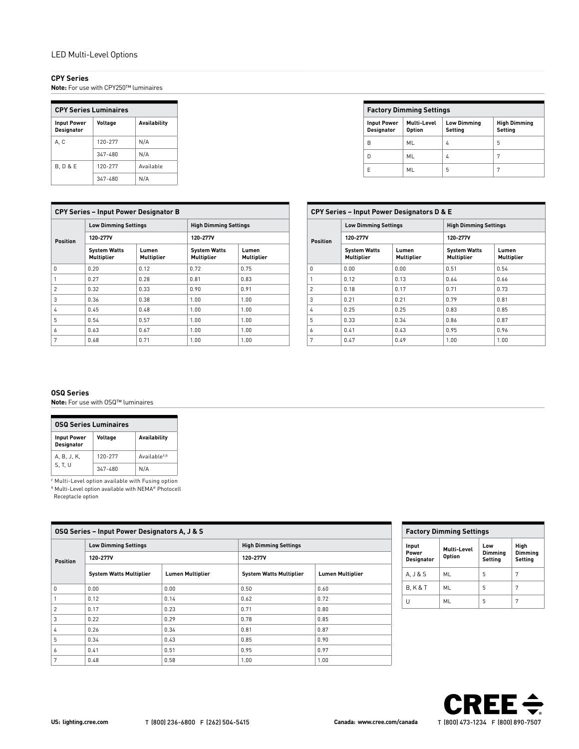# LED Multi-Level Options

# **CPY Series**

**Note:** For use with CPY250™ luminaires

| <b>CPY Series Luminaires</b>                                              |         |           |  |  |
|---------------------------------------------------------------------------|---------|-----------|--|--|
| Voltage<br><b>Availability</b><br><b>Input Power</b><br><b>Designator</b> |         |           |  |  |
| A.C                                                                       | 120-277 | N/A       |  |  |
|                                                                           | 347-480 | N/A       |  |  |
| <b>B.D&amp;E</b>                                                          | 120-277 | Available |  |  |
|                                                                           | 347-480 | N/A       |  |  |

| <b>Factory Dimming Settings</b>         |                              |                               |                                |  |  |  |
|-----------------------------------------|------------------------------|-------------------------------|--------------------------------|--|--|--|
| <b>Input Power</b><br><b>Designator</b> | Multi-Level<br><b>Option</b> | <b>Low Dimming</b><br>Setting | <b>High Dimming</b><br>Setting |  |  |  |
| B                                       | ML                           | 4                             | 5                              |  |  |  |
| n                                       | ML                           | 4                             | 7                              |  |  |  |
| F                                       | ML                           | 5                             | 7                              |  |  |  |

| <b>CPY Series - Input Power Designator B</b> |                                          |                     |                                   |                            |  |
|----------------------------------------------|------------------------------------------|---------------------|-----------------------------------|----------------------------|--|
|                                              | <b>Low Dimming Settings</b>              |                     | <b>High Dimming Settings</b>      |                            |  |
| <b>Position</b>                              | 120-277V                                 |                     | 120-277V                          |                            |  |
|                                              | <b>System Watts</b><br><b>Multiplier</b> | Lumen<br>Multiplier | <b>System Watts</b><br>Multiplier | Lumen<br><b>Multiplier</b> |  |
| $\Omega$                                     | 0.20                                     | 0.12                | 0.72                              | 0.75                       |  |
| 1                                            | 0.27                                     | 0.28                | 0.81                              | 0.83                       |  |
| $\mathfrak{p}$                               | 0.32                                     | 0.33                | 0.90                              | 0.91                       |  |
| 3                                            | 0.36                                     | 0.38                | 1.00                              | 1.00                       |  |
| 4                                            | 0.45                                     | 0.48                | 1.00                              | 1.00                       |  |
| 5                                            | 0.54                                     | 0.57                | 1.00                              | 1.00                       |  |
| 6                                            | 0.63                                     | 0.67                | 1.00                              | 1.00                       |  |
| 7                                            | 0.68                                     | 0.71                | 1.00                              | 1.00                       |  |

| <b>CPY Series - Input Power Designators D &amp; E</b> |                                          |                     |                                          |                            |  |
|-------------------------------------------------------|------------------------------------------|---------------------|------------------------------------------|----------------------------|--|
|                                                       | <b>Low Dimming Settings</b><br>120-277V  |                     | <b>High Dimming Settings</b><br>120-277V |                            |  |
| <b>Position</b>                                       |                                          |                     |                                          |                            |  |
|                                                       | <b>System Watts</b><br><b>Multiplier</b> | Lumen<br>Multiplier | <b>System Watts</b><br><b>Multiplier</b> | Lumen<br><b>Multiplier</b> |  |
| 0                                                     | 0.00                                     | 0.00                | 0.51                                     | 0.54                       |  |
| 1                                                     | 0.12                                     | 0.13                | 0.64                                     | 0.66                       |  |
| $\mathfrak{p}$                                        | 0.18                                     | 0.17                | 0.71                                     | 0.73                       |  |
| 3                                                     | 0.21                                     | 0.21                | 0.79                                     | 0.81                       |  |
| 4                                                     | 0.25                                     | 0.25                | 0.83                                     | 0.85                       |  |
| 5                                                     | 0.33                                     | 0.34                | 0.86                                     | 0.87                       |  |
| 6                                                     | 0.41                                     | 0.43                | 0.95                                     | 0.96                       |  |
| 7                                                     | 0.47                                     | 0.49                | 1.00                                     | 1.00                       |  |

# **OSQ Series**

**Note:** For use with OSQ™ luminaires

| <b>0SQ Series Luminaires</b>                                              |         |                          |  |  |
|---------------------------------------------------------------------------|---------|--------------------------|--|--|
| <b>Availability</b><br>Voltage<br><b>Input Power</b><br><b>Designator</b> |         |                          |  |  |
| A, B, J, K,                                                               | 120-277 | Available <sup>F,R</sup> |  |  |
| S. T. U                                                                   | 347-480 | N/A                      |  |  |

F Multi-Level option available with Fusing option R Multi-Level option available with NEMA® Photocell

Receptacle option

| <b>OSQ Series - Input Power Designators A, J &amp; S</b> |                                         |                         |                                          |                         |  |
|----------------------------------------------------------|-----------------------------------------|-------------------------|------------------------------------------|-------------------------|--|
|                                                          | <b>Low Dimming Settings</b><br>120-277V |                         | <b>High Dimming Settings</b><br>120-277V |                         |  |
| <b>Position</b>                                          |                                         |                         |                                          |                         |  |
|                                                          | <b>System Watts Multiplier</b>          | <b>Lumen Multiplier</b> | <b>System Watts Multiplier</b>           | <b>Lumen Multiplier</b> |  |
| $\Omega$                                                 | 0.00                                    | 0.00                    | 0.50                                     | 0.60                    |  |
|                                                          | 0.12                                    | 0.14                    | 0.62                                     | 0.72                    |  |
| $\overline{2}$                                           | 0.17                                    | 0.23                    | 0.71                                     | 0.80                    |  |
| 3                                                        | 0.22                                    | 0.29                    | 0.78                                     | 0.85                    |  |
| 4                                                        | 0.26                                    | 0.34                    | 0.81                                     | 0.87                    |  |
| 5                                                        | 0.34                                    | 0.43                    | 0.85                                     | 0.90                    |  |
| 6                                                        | 0.41                                    | 0.51                    | 0.95                                     | 0.97                    |  |
| 7                                                        | 0.48                                    | 0.58                    | 1.00                                     | 1.00                    |  |

| <b>Factory Dimming Settings</b> |                       |                           |                            |  |
|---------------------------------|-----------------------|---------------------------|----------------------------|--|
| Input<br>Power<br>Designator    | Multi-Level<br>Option | Low<br>Dimming<br>Setting | High<br>Dimmina<br>Settina |  |
| A. J & S                        | ML                    | 5                         | 7                          |  |
| <b>B.K&amp;T</b>                | ML                    | 5                         | 7                          |  |
|                                 | МI                    |                           |                            |  |